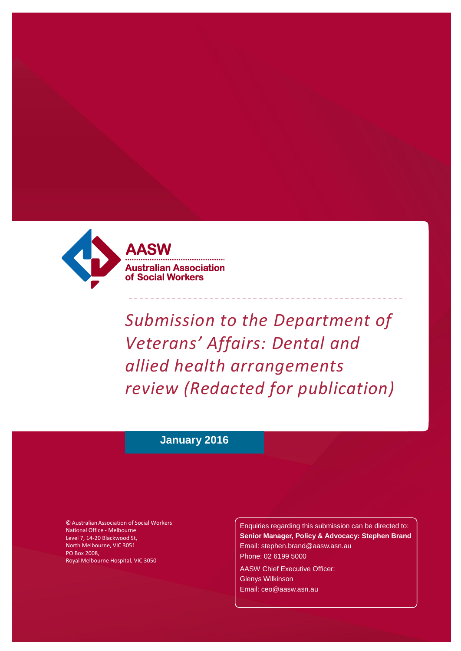

tralian Association **Social Workers** 

*Submission to the Department of Veterans' Affairs: Dental and allied health arrangements review (Redacted for publication)*

# **January 2016**

© Australian Association of Social Workers National Office - Melbourne Level 7, 14-20 Blackwood St, North Melbourne, VIC 3051 PO Box 2008, Royal Melbourne Hospital, VIC 3050

Enquiries regarding this submission can be directed to: **Senior Manager, Policy & Advocacy: Stephen Brand** [Email: stephen.brand@aasw.asn.au](mailto:stephen.brand@aasw.asn.au) Phone: 02 6199 5000

AASW Chief Executive Officer: Glenys Wilkinson [Email: ceo@aasw.asn.au](mailto:ceo@aasw.asn.au)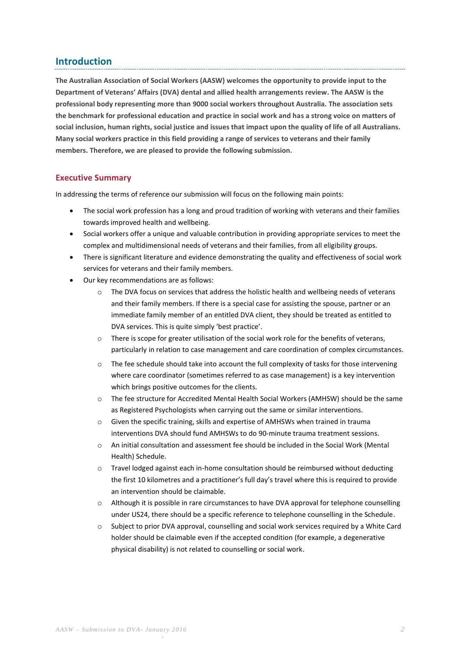# **Introduction**

**The Australian Association of Social Workers (AASW) welcomes the opportunity to provide input to the Department of Veterans' Affairs (DVA) dental and allied health arrangements review. The AASW is the professional body representing more than 9000 social workers throughout Australia. The association sets the benchmark for professional education and practice in social work and has a strong voice on matters of social inclusion, human rights, social justice and issues that impact upon the quality of life of all Australians. Many social workers practice in this field providing a range of services to veterans and their family members. Therefore, we are pleased to provide the following submission.**

# **Executive Summary**

In addressing the terms of reference our submission will focus on the following main points:

- The social work profession has a long and proud tradition of working with veterans and their families towards improved health and wellbeing.
- Social workers offer a unique and valuable contribution in providing appropriate services to meet the complex and multidimensional needs of veterans and their families, from all eligibility groups.
- There is significant literature and evidence demonstrating the quality and effectiveness of social work services for veterans and their family members.
- Our key recommendations are as follows:
	- o The DVA focus on services that address the holistic health and wellbeing needs of veterans and their family members. If there is a special case for assisting the spouse, partner or an immediate family member of an entitled DVA client, they should be treated as entitled to DVA services. This is quite simply 'best practice'.
	- o There is scope for greater utilisation of the social work role for the benefits of veterans, particularly in relation to case management and care coordination of complex circumstances.
	- o The fee schedule should take into account the full complexity of tasks for those intervening where care coordinator (sometimes referred to as case management) is a key intervention which brings positive outcomes for the clients.
	- o The fee structure for Accredited Mental Health Social Workers (AMHSW) should be the same as Registered Psychologists when carrying out the same or similar interventions.
	- o Given the specific training, skills and expertise of AMHSWs when trained in trauma interventions DVA should fund AMHSWs to do 90-minute trauma treatment sessions.
	- o An initial consultation and assessment fee should be included in the Social Work (Mental Health) Schedule.
	- o Travel lodged against each in-home consultation should be reimbursed without deducting the first 10 kilometres and a practitioner's full day's travel where this is required to provide an intervention should be claimable.
	- Although it is possible in rare circumstances to have DVA approval for telephone counselling under US24, there should be a specific reference to telephone counselling in the Schedule.
	- o Subject to prior DVA approval, counselling and social work services required by a White Card holder should be claimable even if the accepted condition (for example, a degenerative physical disability) is not related to counselling or social work.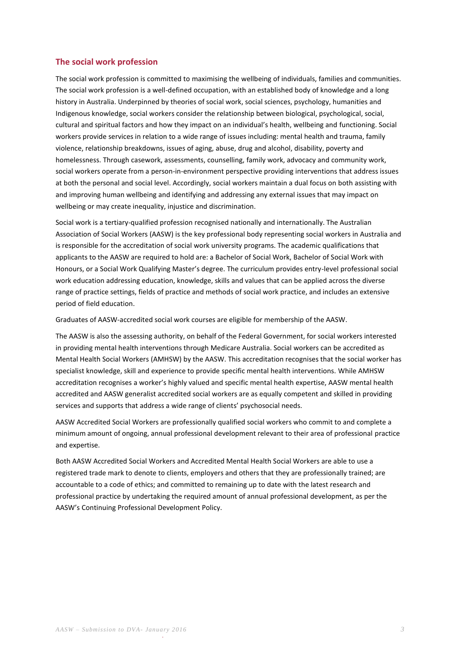## **The social work profession**

The social work profession is committed to maximising the wellbeing of individuals, families and communities. The social work profession is a well-defined occupation, with an established body of knowledge and a long history in Australia. Underpinned by theories of social work, social sciences, psychology, humanities and Indigenous knowledge, social workers consider the relationship between biological, psychological, social, cultural and spiritual factors and how they impact on an individual's health, wellbeing and functioning. Social workers provide services in relation to a wide range of issues including: mental health and trauma, family violence, relationship breakdowns, issues of aging, abuse, drug and alcohol, disability, poverty and homelessness. Through casework, assessments, counselling, family work, advocacy and community work, social workers operate from a person-in-environment perspective providing interventions that address issues at both the personal and social level. Accordingly, social workers maintain a dual focus on both assisting with and improving human wellbeing and identifying and addressing any external issues that may impact on wellbeing or may create inequality, injustice and discrimination.

Social work is a tertiary-qualified profession recognised nationally and internationally. The Australian Association of Social Workers (AASW) is the key professional body representing social workers in Australia and is responsible for the accreditation of social work university programs. The academic qualifications that applicants to the AASW are required to hold are: a Bachelor of Social Work, Bachelor of Social Work with Honours, or a Social Work Qualifying Master's degree. The curriculum provides entry-level professional social work education addressing education, knowledge, skills and values that can be applied across the diverse range of practice settings, fields of practice and methods of social work practice, and includes an extensive period of field education.

Graduates of AASW-accredited social work courses are eligible for membership of the AASW.

The AASW is also the assessing authority, on behalf of the Federal Government, for social workers interested in providing mental health interventions through Medicare Australia. Social workers can be accredited as Mental Health Social Workers (AMHSW) by the AASW. This accreditation recognises that the social worker has specialist knowledge, skill and experience to provide specific mental health interventions. While AMHSW accreditation recognises a worker's highly valued and specific mental health expertise, AASW mental health accredited and AASW generalist accredited social workers are as equally competent and skilled in providing services and supports that address a wide range of clients' psychosocial needs.

AASW Accredited Social Workers are professionally qualified social workers who commit to and complete a minimum amount of ongoing, annual professional development relevant to their area of professional practice and expertise.

Both AASW Accredited Social Workers and Accredited Mental Health Social Workers are able to use a registered trade mark to denote to clients, employers and others that they are professionally trained; are accountable to a code of ethics; and committed to remaining up to date with the latest research and professional practice by undertaking the required amount of annual professional development, as per the AASW's Continuing Professional Development Policy.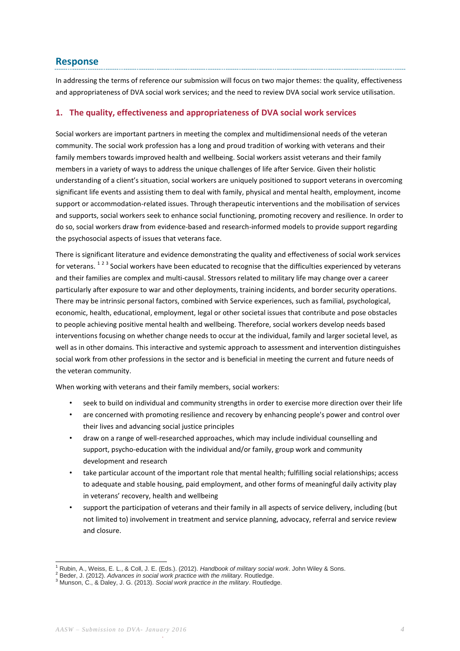# **Response**

In addressing the terms of reference our submission will focus on two major themes: the quality, effectiveness and appropriateness of DVA social work services; and the need to review DVA social work service utilisation.

## **1. The quality, effectiveness and appropriateness of DVA social work services**

Social workers are important partners in meeting the complex and multidimensional needs of the veteran community. The social work profession has a long and proud tradition of working with veterans and their family members towards improved health and wellbeing. Social workers assist veterans and their family members in a variety of ways to address the unique challenges of life after Service. Given their holistic understanding of a client's situation, social workers are uniquely positioned to support veterans in overcoming significant life events and assisting them to deal with family, physical and mental health, employment, income support or accommodation-related issues. Through therapeutic interventions and the mobilisation of services and supports, social workers seek to enhance social functioning, promoting recovery and resilience. In order to do so, social workers draw from evidence-based and research-informed models to provide support regarding the psychosocial aspects of issues that veterans face.

There is significant literature and evidence demonstrating the quality and effectiveness of social work services for veterans. <sup>123</sup> Social workers have been educated to recognise that the difficulties experienced by veterans and their families are complex and multi-causal. Stressors related to military life may change over a career particularly after exposure to war and other deployments, training incidents, and border security operations. There may be intrinsic personal factors, combined with Service experiences, such as familial, psychological, economic, health, educational, employment, legal or other societal issues that contribute and pose obstacles to people achieving positive mental health and wellbeing. Therefore, social workers develop needs based interventions focusing on whether change needs to occur at the individual, family and larger societal level, as well as in other domains. This interactive and systemic approach to assessment and intervention distinguishes social work from other professions in the sector and is beneficial in meeting the current and future needs of the veteran community.

When working with veterans and their family members, social workers:

- seek to build on individual and community strengths in order to exercise more direction over their life
- are concerned with promoting resilience and recovery by enhancing people's power and control over their lives and advancing social justice principles
- draw on a range of well-researched approaches, which may include individual counselling and support, psycho-education with the individual and/or family, group work and community development and research
- take particular account of the important role that mental health; fulfilling social relationships; access to adequate and stable housing, paid employment, and other forms of meaningful daily activity play in veterans' recovery, health and wellbeing
- support the participation of veterans and their family in all aspects of service delivery, including (but not limited to) involvement in treatment and service planning, advocacy, referral and service review and closure.

1

<sup>1</sup> Rubin, A., Weiss, E. L., & Coll, J. E. (Eds.). (2012). *Handbook of military social work*. John Wiley & Sons.

<sup>2</sup> Beder, J. (2012). *Advances in social work practice with the military*. Routledge.

<sup>3</sup> Munson, C., & Daley, J. G. (2013). *Social work practice in the military*. Routledge.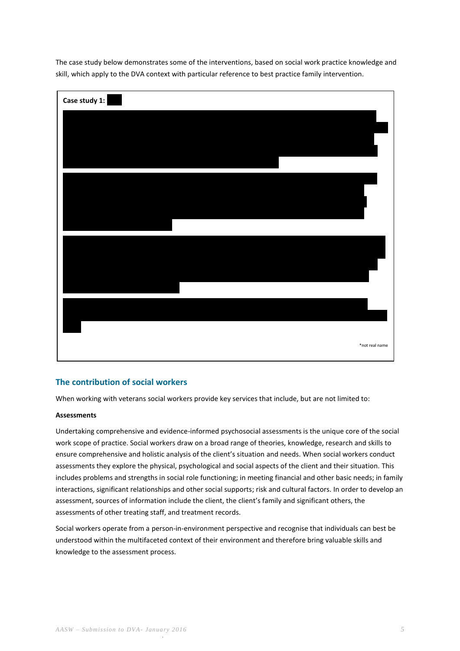The case study below demonstrates some of the interventions, based on social work practice knowledge and skill, which apply to the DVA context with particular reference to best practice family intervention.



# **The contribution of social workers**

When working with veterans social workers provide key services that include, but are not limited to:

### **Assessments**

Undertaking comprehensive and evidence-informed psychosocial assessments is the unique core of the social work scope of practice. Social workers draw on a broad range of theories, knowledge, research and skills to ensure comprehensive and holistic analysis of the client's situation and needs. When social workers conduct assessments they explore the physical, psychological and social aspects of the client and their situation. This includes problems and strengths in social role functioning; in meeting financial and other basic needs; in family interactions, significant relationships and other social supports; risk and cultural factors. In order to develop an assessment, sources of information include the client, the client's family and significant others, the assessments of other treating staff, and treatment records.

Social workers operate from a person-in-environment perspective and recognise that individuals can best be understood within the multifaceted context of their environment and therefore bring valuable skills and knowledge to the assessment process.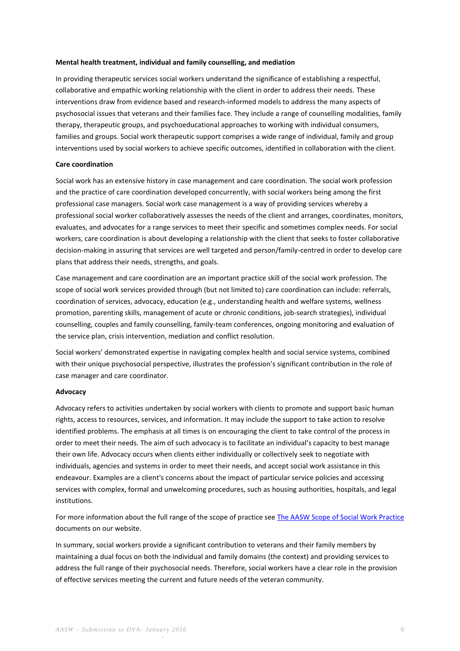### **Mental health treatment, individual and family counselling, and mediation**

In providing therapeutic services social workers understand the significance of establishing a respectful, collaborative and empathic working relationship with the client in order to address their needs. These interventions draw from evidence based and research-informed models to address the many aspects of psychosocial issues that veterans and their families face. They include a range of counselling modalities, family therapy, therapeutic groups, and psychoeducational approaches to working with individual consumers, families and groups. Social work therapeutic support comprises a wide range of individual, family and group interventions used by social workers to achieve specific outcomes, identified in collaboration with the client.

#### **Care coordination**

Social work has an extensive history in case management and care coordination. The social work profession and the practice of care coordination developed concurrently, with social workers being among the first professional case managers. Social work case management is a way of providing services whereby a professional social worker collaboratively assesses the needs of the client and arranges, coordinates, monitors, evaluates, and advocates for a range services to meet their specific and sometimes complex needs. For social workers, care coordination is about developing a relationship with the client that seeks to foster collaborative decision-making in assuring that services are well targeted and person/family-centred in order to develop care plans that address their needs, strengths, and goals.

Case management and care coordination are an important practice skill of the social work profession. The scope of social work services provided through (but not limited to) care coordination can include: referrals, coordination of services, advocacy, education (e.g., understanding health and welfare systems, wellness promotion, parenting skills, management of acute or chronic conditions, job-search strategies), individual counselling, couples and family counselling, family-team conferences, ongoing monitoring and evaluation of the service plan, crisis intervention, mediation and conflict resolution.

Social workers' demonstrated expertise in navigating complex health and social service systems, combined with their unique psychosocial perspective, illustrates the profession's significant contribution in the role of case manager and care coordinator.

#### **Advocacy**

Advocacy refers to activities undertaken by social workers with clients to promote and support basic human rights, access to resources, services, and information. It may include the support to take action to resolve identified problems. The emphasis at all times is on encouraging the client to take control of the process in order to meet their needs. The aim of such advocacy is to facilitate an individual's capacity to best manage their own life. Advocacy occurs when clients either individually or collectively seek to negotiate with individuals, agencies and systems in order to meet their needs, and accept social work assistance in this endeavour. Examples are a client's concerns about the impact of particular service policies and accessing services with complex, formal and unwelcoming procedures, such as housing authorities, hospitals, and legal institutions.

For more information about the full range of the scope of practice se[e The AASW Scope of Social Work Practice](https://www.aasw.asn.au/practitioner-resources/the-scope-of-social-work-practice) documents on our website.

In summary, social workers provide a significant contribution to veterans and their family members by maintaining a dual focus on both the individual and family domains (the context) and providing services to address the full range of their psychosocial needs. Therefore, social workers have a clear role in the provision of effective services meeting the current and future needs of the veteran community.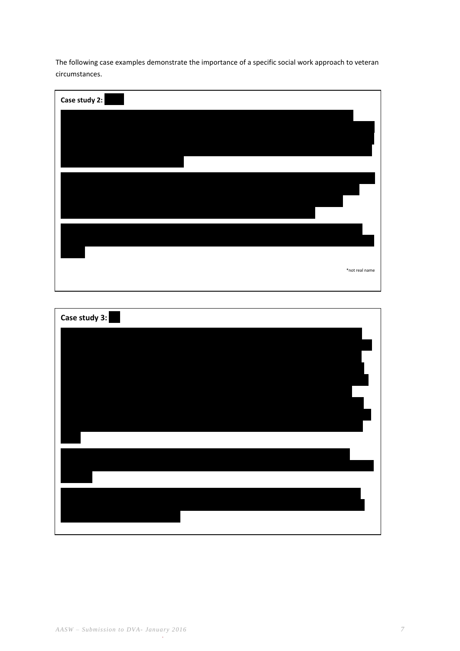The following case examples demonstrate the importance of a specific social work approach to veteran circumstances.

| Case study 2: |                |
|---------------|----------------|
|               |                |
|               |                |
|               |                |
|               |                |
|               |                |
|               |                |
|               |                |
|               | *not real name |
|               |                |

| Case study 3: |  |
|---------------|--|
|               |  |
|               |  |
|               |  |
|               |  |
|               |  |
|               |  |
|               |  |
|               |  |
|               |  |
|               |  |
|               |  |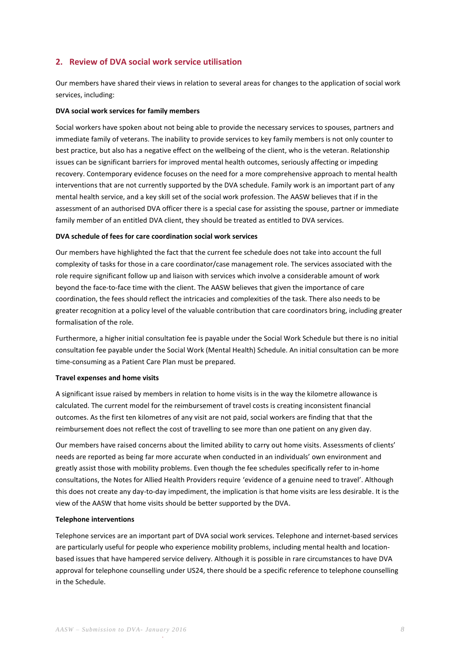# **2. Review of DVA social work service utilisation**

Our members have shared their views in relation to several areas for changes to the application of social work services, including:

### **DVA social work services for family members**

Social workers have spoken about not being able to provide the necessary services to spouses, partners and immediate family of veterans. The inability to provide services to key family members is not only counter to best practice, but also has a negative effect on the wellbeing of the client, who is the veteran. Relationship issues can be significant barriers for improved mental health outcomes, seriously affecting or impeding recovery. Contemporary evidence focuses on the need for a more comprehensive approach to mental health interventions that are not currently supported by the DVA schedule. Family work is an important part of any mental health service, and a key skill set of the social work profession. The AASW believes that if in the assessment of an authorised DVA officer there is a special case for assisting the spouse, partner or immediate family member of an entitled DVA client, they should be treated as entitled to DVA services.

### **DVA schedule of fees for care coordination social work services**

Our members have highlighted the fact that the current fee schedule does not take into account the full complexity of tasks for those in a care coordinator/case management role. The services associated with the role require significant follow up and liaison with services which involve a considerable amount of work beyond the face-to-face time with the client. The AASW believes that given the importance of care coordination, the fees should reflect the intricacies and complexities of the task. There also needs to be greater recognition at a policy level of the valuable contribution that care coordinators bring, including greater formalisation of the role.

Furthermore, a higher initial consultation fee is payable under the Social Work Schedule but there is no initial consultation fee payable under the Social Work (Mental Health) Schedule. An initial consultation can be more time-consuming as a Patient Care Plan must be prepared.

#### **Travel expenses and home visits**

A significant issue raised by members in relation to home visits is in the way the kilometre allowance is calculated. The current model for the reimbursement of travel costs is creating inconsistent financial outcomes. As the first ten kilometres of any visit are not paid, social workers are finding that that the reimbursement does not reflect the cost of travelling to see more than one patient on any given day.

Our members have raised concerns about the limited ability to carry out home visits. Assessments of clients' needs are reported as being far more accurate when conducted in an individuals' own environment and greatly assist those with mobility problems. Even though the fee schedules specifically refer to in-home consultations, the Notes for Allied Health Providers require 'evidence of a genuine need to travel'. Although this does not create any day-to-day impediment, the implication is that home visits are less desirable. It is the view of the AASW that home visits should be better supported by the DVA.

### **Telephone interventions**

Telephone services are an important part of DVA social work services. Telephone and internet-based services are particularly useful for people who experience mobility problems, including mental health and locationbased issues that have hampered service delivery. Although it is possible in rare circumstances to have DVA approval for telephone counselling under US24, there should be a specific reference to telephone counselling in the Schedule.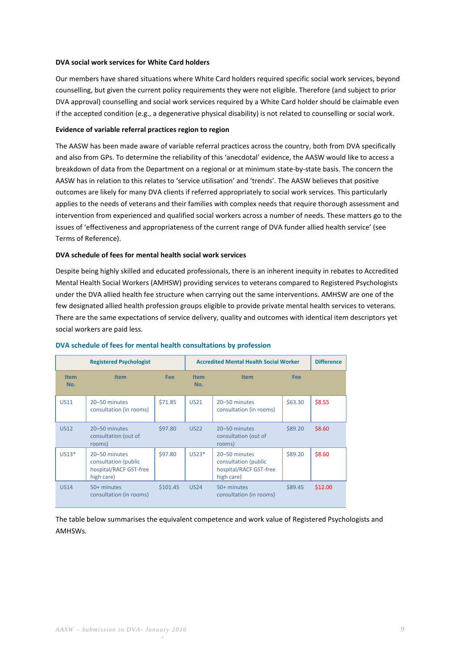### **DVA social work services for White Card holders**

Our members have shared situations where White Card holders required specific social work services, beyond counselling, but given the current policy requirements they were not eligible. Therefore (and subject to prior DVA approval) counselling and social work services required by a White Card holder should be claimable even if the accepted condition (e.g., a degenerative physical disability) is not related to counselling or social work.

### **Evidence of variable referral practices region to region**

The AASW has been made aware of variable referral practices across the country, both from DVA specifically and also from GPs. To determine the reliability of this 'anecdotal' evidence, the AASW would like to access a breakdown of data from the Department on a regional or at minimum state-by-state basis. The concern the AASW has in relation to this relates to 'service utilisation' and 'trends'. The AASW believes that positive outcomes are likely for many DVA clients if referred appropriately to social work services. This particularly applies to the needs of veterans and their families with complex needs that require thorough assessment and intervention from experienced and qualified social workers across a number of needs. These matters go to the issues of 'effectiveness and appropriateness of the current range of DVA funder allied health service' (see Terms of Reference).

### **DVA schedule of fees for mental health social work services**

Despite being highly skilled and educated professionals, there is an inherent inequity in rebates to Accredited Mental Health Social Workers (AMHSW) providing services to veterans compared to Registered Psychologists under the DVA allied health fee structure when carrying out the same interventions. AMHSW are one of the few designated allied health profession groups eligible to provide private mental health services to veterans. There are the same expectations of service delivery, quality and outcomes with identical item descriptors yet social workers are paid less.

| <b>Registered Psychologist</b> |                                                                               |          | <b>Accredited Mental Health Social Worker</b> |                                                                               |         | <b>Difference</b> |
|--------------------------------|-------------------------------------------------------------------------------|----------|-----------------------------------------------|-------------------------------------------------------------------------------|---------|-------------------|
| <b>Item</b><br>No.             | <b>Item</b>                                                                   | Fee      | <b>Item</b><br>No.                            | <b>Item</b>                                                                   | Fee     |                   |
| <b>US11</b>                    | 20-50 minutes<br>consultation (in rooms)                                      | \$71.85  | <b>US21</b>                                   | 20-50 minutes<br>consultation (in rooms)                                      | \$63.30 | \$8.55            |
| <b>US12</b>                    | 20-50 minutes<br>consultation (out of<br>rooms)                               | \$97.80  | <b>US22</b>                                   | 20-50 minutes<br>consultation (out of<br>rooms)                               | \$89.20 | \$8.60            |
| $US13*$                        | 20-50 minutes<br>consultation (public<br>hospital/RACF GST-free<br>high care) | \$97.80  | $US23*$                                       | 20-50 minutes<br>consultation (public<br>hospital/RACF GST-free<br>high care) | \$89.20 | \$8.60            |
| <b>US14</b>                    | 50+ minutes<br>consultation (in rooms)                                        | \$101.45 | <b>US24</b>                                   | 50+ minutes<br>consultation (in rooms)                                        | \$89.45 | \$12.00           |

#### **DVA schedule of fees for mental health consultations by profession**

The table below summarises the equivalent competence and work value of Registered Psychologists and AMHSWs.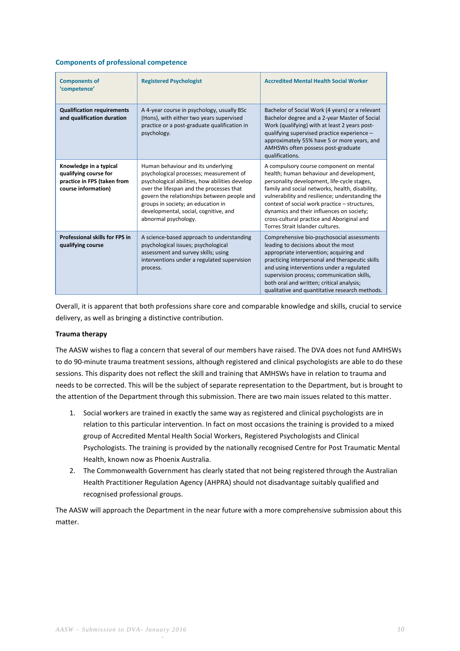### **Components of professional competence**

| <b>Components of</b><br>'competence'                                                                  | <b>Registered Psychologist</b>                                                                                                                                                                                                                                                                                                    | <b>Accredited Mental Health Social Worker</b>                                                                                                                                                                                                                                                                                                                                                                            |
|-------------------------------------------------------------------------------------------------------|-----------------------------------------------------------------------------------------------------------------------------------------------------------------------------------------------------------------------------------------------------------------------------------------------------------------------------------|--------------------------------------------------------------------------------------------------------------------------------------------------------------------------------------------------------------------------------------------------------------------------------------------------------------------------------------------------------------------------------------------------------------------------|
| <b>Qualification requirements</b><br>and qualification duration                                       | A 4-year course in psychology, usually BSc<br>(Hons), with either two years supervised<br>practice or a post-graduate qualification in<br>psychology.                                                                                                                                                                             | Bachelor of Social Work (4 years) or a relevant<br>Bachelor degree and a 2-year Master of Social<br>Work (qualifying) with at least 2 years post-<br>qualifying supervised practice experience -<br>approximately 55% have 5 or more years, and<br>AMHSWs often possess post-graduate<br>qualifications.                                                                                                                 |
| Knowledge in a typical<br>qualifying course for<br>practice in FPS (taken from<br>course information) | Human behaviour and its underlying<br>psychological processes; measurement of<br>psychological abilities, how abilities develop<br>over the lifespan and the processes that<br>govern the relationships between people and<br>groups in society; an education in<br>developmental, social, cognitive, and<br>abnormal psychology. | A compulsory course component on mental<br>health; human behaviour and development,<br>personality development, life-cycle stages,<br>family and social networks, health, disability,<br>vulnerability and resilience; understanding the<br>context of social work practice - structures,<br>dynamics and their influences on society;<br>cross-cultural practice and Aboriginal and<br>Torres Strait Islander cultures. |
| <b>Professional skills for FPS in</b><br>qualifying course                                            | A science-based approach to understanding<br>psychological issues; psychological<br>assessment and survey skills; using<br>interventions under a regulated supervision<br>process.                                                                                                                                                | Comprehensive bio-psychosocial assessments<br>leading to decisions about the most<br>appropriate intervention; acquiring and<br>practicing interpersonal and therapeutic skills<br>and using interventions under a regulated<br>supervision process; communication skills,<br>both oral and written; critical analysis;<br>qualitative and quantitative research methods.                                                |

Overall, it is apparent that both professions share core and comparable knowledge and skills, crucial to service delivery, as well as bringing a distinctive contribution.

### **Trauma therapy**

The AASW wishes to flag a concern that several of our members have raised. The DVA does not fund AMHSWs to do 90-minute trauma treatment sessions, although registered and clinical psychologists are able to do these sessions. This disparity does not reflect the skill and training that AMHSWs have in relation to trauma and needs to be corrected. This will be the subject of separate representation to the Department, but is brought to the attention of the Department through this submission. There are two main issues related to this matter.

- 1. Social workers are trained in exactly the same way as registered and clinical psychologists are in relation to this particular intervention. In fact on most occasions the training is provided to a mixed group of Accredited Mental Health Social Workers, Registered Psychologists and Clinical Psychologists. The training is provided by the nationally recognised Centre for Post Traumatic Mental Health, known now as Phoenix Australia.
- 2. The Commonwealth Government has clearly stated that not being registered through the Australian Health Practitioner Regulation Agency (AHPRA) should not disadvantage suitably qualified and recognised professional groups.

The AASW will approach the Department in the near future with a more comprehensive submission about this matter.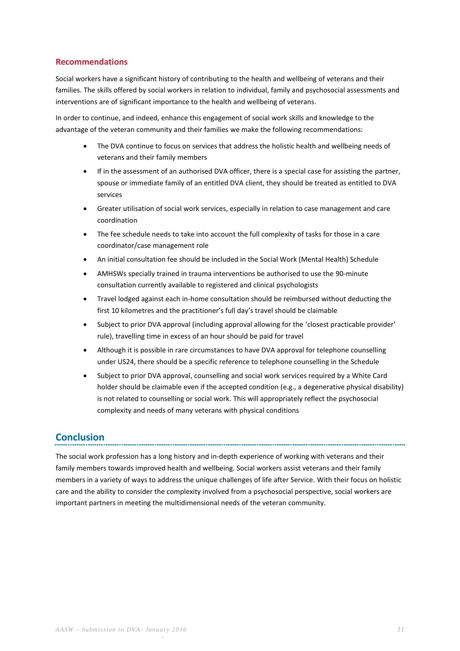# **Recommendations**

Social workers have a significant history of contributing to the health and wellbeing of veterans and their families. The skills offered by social workers in relation to individual, family and psychosocial assessments and interventions are of significant importance to the health and wellbeing of veterans.

In order to continue, and indeed, enhance this engagement of social work skills and knowledge to the advantage of the veteran community and their families we make the following recommendations:

- The DVA continue to focus on services that address the holistic health and wellbeing needs of veterans and their family members
- If in the assessment of an authorised DVA officer, there is a special case for assisting the partner, spouse or immediate family of an entitled DVA client, they should be treated as entitled to DVA services
- Greater utilisation of social work services, especially in relation to case management and care coordination
- The fee schedule needs to take into account the full complexity of tasks for those in a care coordinator/case management role
- An initial consultation fee should be included in the Social Work (Mental Health) Schedule
- AMHSWs specially trained in trauma interventions be authorised to use the 90-minute consultation currently available to registered and clinical psychologists
- Travel lodged against each in-home consultation should be reimbursed without deducting the first 10 kilometres and the practitioner's full day's travel should be claimable
- Subject to prior DVA approval (including approval allowing for the 'closest practicable provider' rule), travelling time in excess of an hour should be paid for travel
- Although it is possible in rare circumstances to have DVA approval for telephone counselling under US24, there should be a specific reference to telephone counselling in the Schedule
- Subject to prior DVA approval, counselling and social work services required by a White Card holder should be claimable even if the accepted condition (e.g., a degenerative physical disability) is not related to counselling or social work. This will appropriately reflect the psychosocial complexity and needs of many veterans with physical conditions

# **Conclusion**

The social work profession has a long history and in-depth experience of working with veterans and their family members towards improved health and wellbeing. Social workers assist veterans and their family members in a variety of ways to address the unique challenges of life after Service. With their focus on holistic care and the ability to consider the complexity involved from a psychosocial perspective, social workers are important partners in meeting the multidimensional needs of the veteran community.